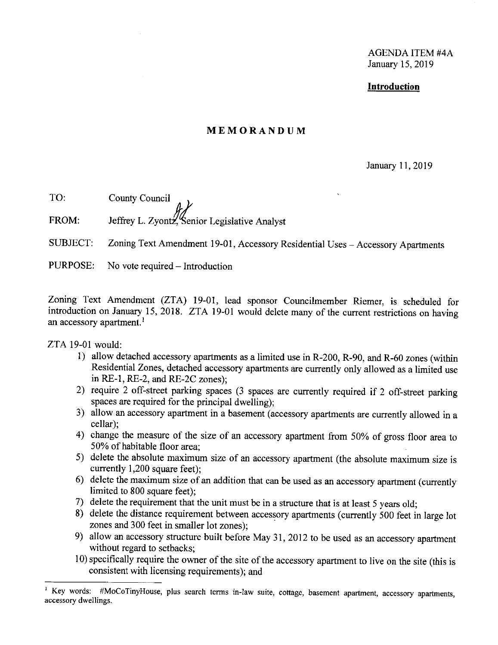AGENDA ITEM #4A January 15, 2019

## **Introduction**

# **MEMORANDUM**

### January 11, 2019

TO: County Council FROM: Jeffrey L. Zyontz, Senior Legislative Analyst

SUBJECT: Zoning Text Amendment 19-01, Accessory Residential Uses - Accessory Apartments

PURPOSE: No vote required  $-$  Introduction

Zoning Text Amendment (ZTA) 19-01, lead sponsor Councilmember Riemer, is scheduled for introduction on January 15, 2018. ZTA 19-01 would delete many of the current restrictions on having an accessory apartment.<sup>1</sup>

ZTA 19-01 would:

- I) allow detached accessory apartments as a limited use in R-200, R-90, and R-60 zones (within Residential Zones, detached accessory apartments are currently only allowed as a limited use in RE-I, RE-2, and RE-2C zones);
- 2) require 2 off-street parking spaces (3 spaces are currently required if 2 off-street parking spaces are required for the principal dwelling);
- 3) allow an accessory apartment in a basement (accessory apartments are currently allowed in a cellar);
- 4) change the measure of the size of an accessory apartment from 50% of gross floor area to 50% of habitable floor area;
- 5) delete the absolute maximum size of an accessory apartment ( the absolute maximum size is currently 1,200 square feet);
- 6) delete the maximum size of an addition that can be used as an accessory apartment ( currently limited to 800 square feet);
- 7) delete the requirement that the unit must be in a structure that is at least 5 years old;
- 8) delete the distance requirement between accessory apartments (currently 500 feet in large lot zones and 300 feet in smaller lot zones);
- 9) allow an accessory structure built before May 31, 2012 to be used as an accessory apartment without regard to setbacks;
- 10) specifically require the owner of the site of the accessory apartment to live on the site (this is consistent with licensing requirements); and

<sup>&</sup>lt;sup>1</sup> Key words: #MoCoTinyHouse, plus search terms in-law suite, cottage, basement apartment, accessory apartments, accessory dwellings.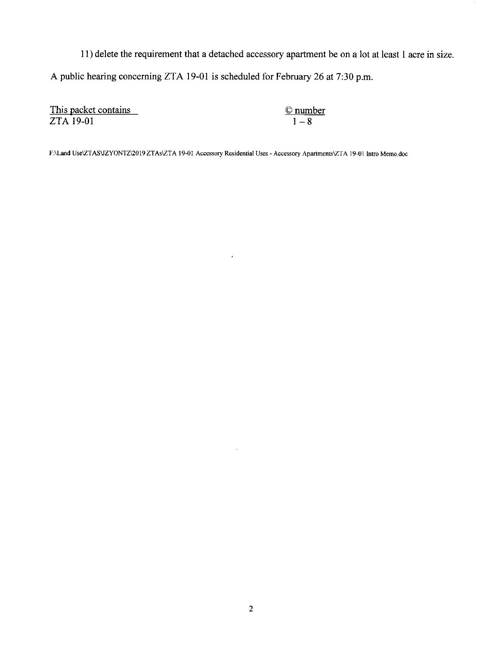11) delete the requirement that a detached accessory apartment be on a lot at least I acre in size. A public hearing concerning ZTA 19-01 is scheduled for February 26 at 7:30 p.m.

This packet contains ZTA 19-01

©number  $\frac{1}{1-8}$ 

 $\alpha$ 

F:\Land Use\ZTAS\JZYONTZ\2019 ZTAs\ZTA 19-01 Accessory Residential Uses - Accessory Apartments\ZT A 19-01 Intro Memo.doc

 $\hat{\boldsymbol{\delta}}$ 

 $\hat{\boldsymbol{\theta}}$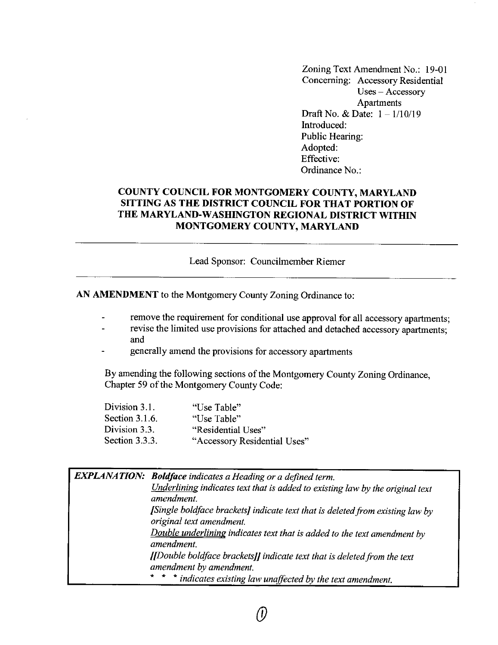Zoning Text Amendment No.: 19-01 Concerning: Accessory Residential Uses - Accessory Apartments Draft No. & Date:  $1 - \frac{1}{10/19}$ Introduced: Public Hearing: Adopted: Effective: Ordinance No.:

# **COUNTY COUNCIL FOR MONTGOMERY COUNTY, MARYLAND SITTING AS THE DISTRICT COUNCIL FOR THAT PORTION OF THE MARYLAND-WASHINGTON REGIONAL DISTRICT WITHIN MONTGOMERY COUNTY, MARYLAND**

Lead Sponsor: Councilmember Riemer

**AN AMENDMENT** to the Montgomery County Zoning Ordinance to:

- remove the requirement for conditional use approval for all accessory apartments;
- revise the limited use provisions for attached and detached accessory apartments; and
- generally amend the provisions for accessory apartments

By amending the following sections of the Montgomery County Zoning Ordinance, Chapter 59 of the Montgomery County Code:

| Division 3.1.  | "Use Table"                  |
|----------------|------------------------------|
| Section 3.1.6. | "Use Table"                  |
| Division 3.3.  | "Residential Uses"           |
| Section 3.3.3. | "Accessory Residential Uses" |

| <b>EXPLANATION:</b> Boldface indicates a Heading or a defined term.                                       |
|-----------------------------------------------------------------------------------------------------------|
| Underlining indicates text that is added to existing law by the original text<br>amendment.               |
| [Single boldface brackets] indicate text that is deleted from existing law by<br>original text amendment. |
| Double underlining indicates text that is added to the text amendment by<br>amendment.                    |
| [Double boldface brackets]] indicate text that is deleted from the text<br>amendment by amendment.        |
| * * * indicates existing law unaffected by the text amendment.                                            |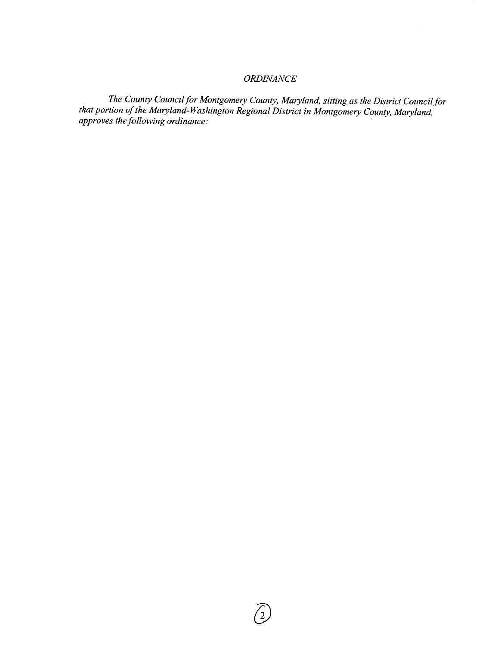# *ORDINANCE*

*The County Council for Montgomery County, Maryland, sitting as the District Council for that portion of the Maryland-Washington Regional District in Montgomery County, Maryland, approves the following ordinance:* '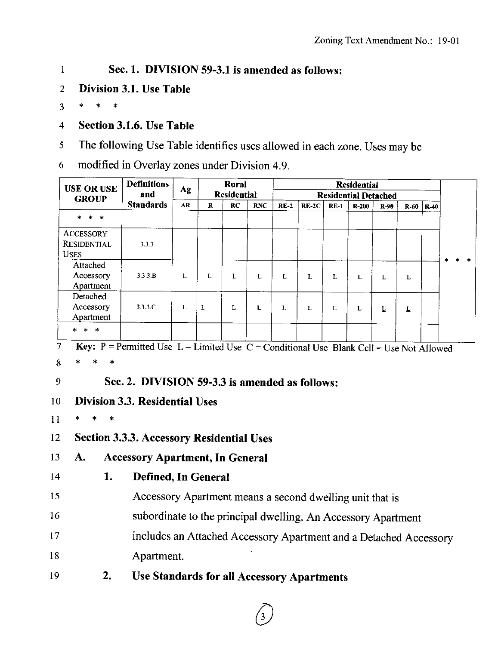#### **Sec. 1. DIVISION 59-3.1 is amended as follows:**   $\mathbf{1}$

- 2 **Division 3.1. Use Table**
- <sup>3</sup>\* \* \*
- 4 **Section 3.1.6. Use Table**
- 5 The following Use Table identifies uses allowed in each zone. Uses may be

6 modified in Overlay zones under Division 4.9.

|               | <b>USE OR USE</b>                                | <b>Definitions</b>                                                                             | Ag | <b>Rural</b> |                    |            | <b>Residential</b>          |         |              |           |        |                         |                 |       |  |
|---------------|--------------------------------------------------|------------------------------------------------------------------------------------------------|----|--------------|--------------------|------------|-----------------------------|---------|--------------|-----------|--------|-------------------------|-----------------|-------|--|
|               | <b>GROUP</b>                                     | and                                                                                            |    |              | <b>Residential</b> |            | <b>Residential Detached</b> |         |              |           |        |                         |                 |       |  |
|               |                                                  | <b>Standards</b>                                                                               | AR | $\mathbf R$  | <b>RC</b>          | <b>RNC</b> | $RE-2$                      | $RE-2C$ | $RE-1$       | $R - 200$ | $R-90$ |                         | $R-60$   $R-40$ |       |  |
|               | * *<br>ж.                                        |                                                                                                |    |              |                    |            |                             |         |              |           |        |                         |                 |       |  |
|               | <b>ACCESSORY</b>                                 |                                                                                                |    |              |                    |            |                             |         |              |           |        |                         |                 |       |  |
|               | <b>RESIDENTIAL</b><br><b>USES</b>                | 3.3.3                                                                                          |    |              |                    |            |                             |         |              |           |        |                         |                 | * * * |  |
|               | Attached                                         |                                                                                                |    |              |                    |            |                             |         |              |           |        |                         |                 |       |  |
|               | Accessory<br>Apartment                           | 3.3.3.B                                                                                        | L  | L            | L                  | L          | L                           | L       | L            | L         | L      | L                       |                 |       |  |
|               | Detached                                         |                                                                                                |    |              |                    |            |                             |         |              |           |        |                         |                 |       |  |
|               | Accessory<br>Apartment                           | 3.3.3.C                                                                                        | L  | $\mathbf{L}$ | $\mathbf{L}$       | L          | L                           | L       | $\mathbf{L}$ | L         | Ŀ      | $\overline{\mathsf{r}}$ |                 |       |  |
|               | * * *                                            |                                                                                                |    |              |                    |            |                             |         |              |           |        |                         |                 |       |  |
| $\mathcal{I}$ |                                                  | <b>Key:</b> P = Permitted Use L = Limited Use C = Conditional Use Blank Cell = Use Not Allowed |    |              |                    |            |                             |         |              |           |        |                         |                 |       |  |
| 8             | $\ast$<br>$\ast$<br>$\ast$                       |                                                                                                |    |              |                    |            |                             |         |              |           |        |                         |                 |       |  |
| 9             |                                                  | Sec. 2. DIVISION 59-3.3 is amended as follows:                                                 |    |              |                    |            |                             |         |              |           |        |                         |                 |       |  |
| 10            |                                                  | <b>Division 3.3. Residential Uses</b>                                                          |    |              |                    |            |                             |         |              |           |        |                         |                 |       |  |
| 11            | $\ast$<br>$\ast$<br>$\ast$                       |                                                                                                |    |              |                    |            |                             |         |              |           |        |                         |                 |       |  |
| 12            | <b>Section 3.3.3. Accessory Residential Uses</b> |                                                                                                |    |              |                    |            |                             |         |              |           |        |                         |                 |       |  |
| 13            | <b>Accessory Apartment, In General</b><br>A.     |                                                                                                |    |              |                    |            |                             |         |              |           |        |                         |                 |       |  |
| 14            | 1.                                               | Defined, In General                                                                            |    |              |                    |            |                             |         |              |           |        |                         |                 |       |  |

- 15 Accessory Apartment means a second dwelling unit that is
- 16 subordinate to the principal dwelling. An Accessory Apartment
- 17 18 includes an Attached Accessory Apartment and a Detached Accessory Apartment.
- 19 **2. Use Standards for all Accessory Apartments**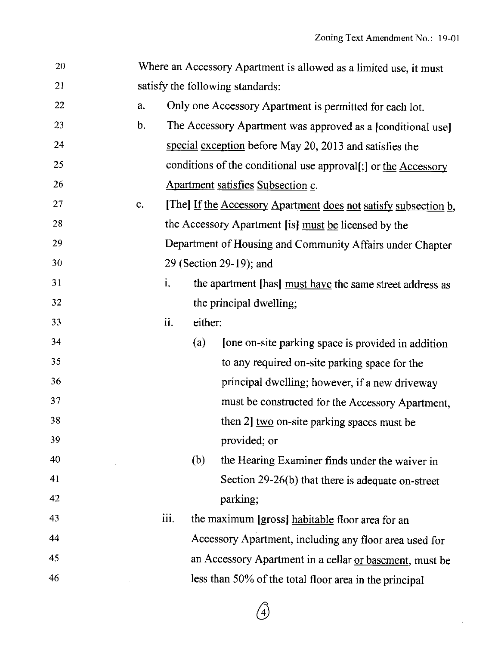$\mathcal{L}$ 

| 20 |                |      |         | Where an Accessory Apartment is allowed as a limited use, it must |
|----|----------------|------|---------|-------------------------------------------------------------------|
| 21 |                |      |         | satisfy the following standards:                                  |
| 22 | a.             |      |         | Only one Accessory Apartment is permitted for each lot.           |
| 23 | b.             |      |         | The Accessory Apartment was approved as a [conditional use]       |
| 24 |                |      |         | special exception before May 20, 2013 and satisfies the           |
| 25 |                |      |         | conditions of the conditional use approval[;] or the Accessory    |
| 26 |                |      |         | Apartment satisfies Subsection c.                                 |
| 27 | $\mathbf{c}$ . |      |         | [The] If the Accessory Apartment does not satisfy subsection b,   |
| 28 |                |      |         | the Accessory Apartment [is] must be licensed by the              |
| 29 |                |      |         | Department of Housing and Community Affairs under Chapter         |
| 30 |                |      |         | 29 (Section 29-19); and                                           |
| 31 |                | i.   |         | the apartment [has] must have the same street address as          |
| 32 |                |      |         | the principal dwelling;                                           |
| 33 |                | ii.  | either: |                                                                   |
| 34 |                |      | (a)     | [one on-site parking space is provided in addition]               |
| 35 |                |      |         | to any required on-site parking space for the                     |
| 36 |                |      |         | principal dwelling; however, if a new driveway                    |
| 37 |                |      |         | must be constructed for the Accessory Apartment,                  |
| 38 |                |      |         | then 2] two on-site parking spaces must be                        |
| 39 |                |      |         | provided; or                                                      |
| 40 |                |      | (b)     | the Hearing Examiner finds under the waiver in                    |
| 41 |                |      |         | Section $29-26(b)$ that there is adequate on-street               |
| 42 |                |      |         | parking;                                                          |
| 43 |                | iii. |         | the maximum [gross] habitable floor area for an                   |
| 44 |                |      |         | Accessory Apartment, including any floor area used for            |
| 45 |                |      |         | an Accessory Apartment in a cellar or basement, must be           |
| 46 |                |      |         | less than 50% of the total floor area in the principal            |

*Q*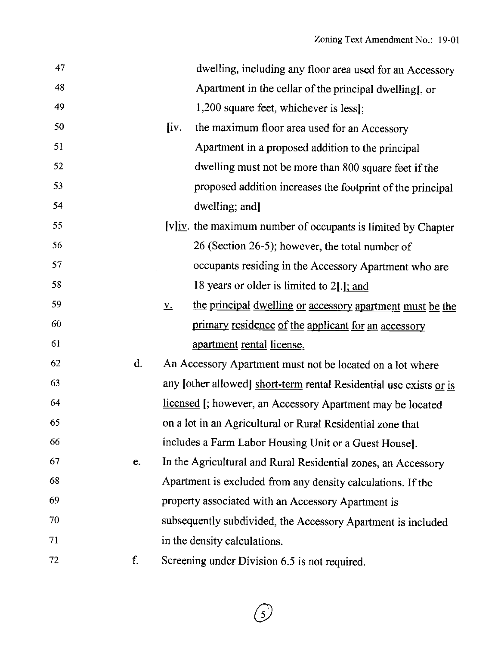| 47 |    | dwelling, including any floor area used for an Accessory                       |
|----|----|--------------------------------------------------------------------------------|
| 48 |    | Apartment in the cellar of the principal dwelling[, or                         |
| 49 |    | 1,200 square feet, whichever is less];                                         |
| 50 |    | $\left\{ iv. \right\}$<br>the maximum floor area used for an Accessory         |
| 51 |    | Apartment in a proposed addition to the principal                              |
| 52 |    | dwelling must not be more than 800 square feet if the                          |
| 53 |    | proposed addition increases the footprint of the principal                     |
| 54 |    | dwelling; and]                                                                 |
| 55 |    | $[v]$ iv. the maximum number of occupants is limited by Chapter                |
| 56 |    | 26 (Section 26-5); however, the total number of                                |
| 57 |    | occupants residing in the Accessory Apartment who are                          |
| 58 |    | 18 years or older is limited to 2[.]; and                                      |
| 59 |    | the principal dwelling or accessory apartment must be the<br>$\underline{V}$ . |
| 60 |    | primary residence of the applicant for an accessory                            |
| 61 |    | apartment rental license.                                                      |
| 62 | d. | An Accessory Apartment must not be located on a lot where                      |
| 63 |    | any [other allowed] short-term rental Residential use exists or is             |
| 64 |    | licensed [; however, an Accessory Apartment may be located                     |
| 65 |    | on a lot in an Agricultural or Rural Residential zone that                     |
| 66 |    | includes a Farm Labor Housing Unit or a Guest House.                           |
| 67 | e. | In the Agricultural and Rural Residential zones, an Accessory                  |
| 68 |    | Apartment is excluded from any density calculations. If the                    |
| 69 |    | property associated with an Accessory Apartment is                             |
| 70 |    | subsequently subdivided, the Accessory Apartment is included                   |
| 71 |    | in the density calculations.                                                   |
| 72 | f. | Screening under Division 6.5 is not required.                                  |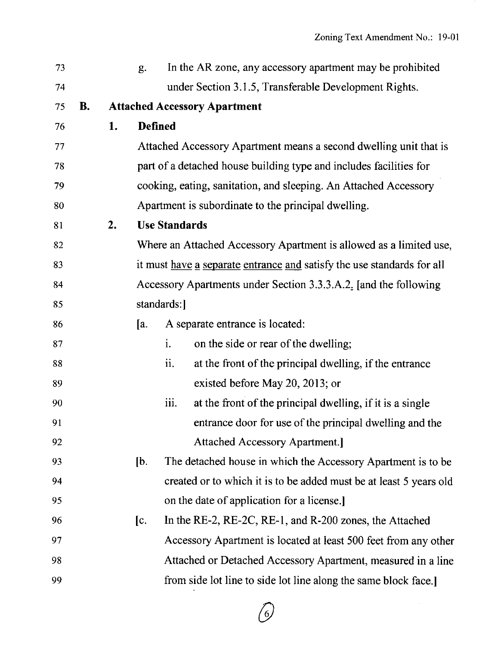| 73 |    |    | g.             |                      | In the AR zone, any accessory apartment may be prohibited              |
|----|----|----|----------------|----------------------|------------------------------------------------------------------------|
| 74 |    |    |                |                      | under Section 3.1.5, Transferable Development Rights.                  |
| 75 | В. |    |                |                      | <b>Attached Accessory Apartment</b>                                    |
| 76 |    | 1. | <b>Defined</b> |                      |                                                                        |
| 77 |    |    |                |                      | Attached Accessory Apartment means a second dwelling unit that is      |
| 78 |    |    |                |                      | part of a detached house building type and includes facilities for     |
| 79 |    |    |                |                      | cooking, eating, sanitation, and sleeping. An Attached Accessory       |
| 80 |    |    |                |                      | Apartment is subordinate to the principal dwelling.                    |
| 81 |    | 2. |                | <b>Use Standards</b> |                                                                        |
| 82 |    |    |                |                      | Where an Attached Accessory Apartment is allowed as a limited use,     |
| 83 |    |    |                |                      | it must have a separate entrance and satisfy the use standards for all |
| 84 |    |    |                |                      | Accessory Apartments under Section 3.3.3.A.2. [and the following       |
| 85 |    |    |                | standards:           |                                                                        |
| 86 |    |    | [a.            |                      | A separate entrance is located:                                        |
| 87 |    |    |                | i.                   | on the side or rear of the dwelling;                                   |
| 88 |    |    |                | ii.                  | at the front of the principal dwelling, if the entrance                |
| 89 |    |    |                |                      | existed before May 20, 2013; or                                        |
| 90 |    |    |                | iii.                 | at the front of the principal dwelling, if it is a single              |
| 91 |    |    |                |                      | entrance door for use of the principal dwelling and the                |
| 92 |    |    |                |                      | <b>Attached Accessory Apartment.</b>                                   |
| 93 |    |    | [b.            |                      | The detached house in which the Accessory Apartment is to be           |
| 94 |    |    |                |                      | created or to which it is to be added must be at least 5 years old     |
| 95 |    |    |                |                      | on the date of application for a license.                              |
| 96 |    |    | [c.]           |                      | In the RE-2, RE-2C, RE-1, and R-200 zones, the Attached                |
| 97 |    |    |                |                      | Accessory Apartment is located at least 500 feet from any other        |
| 98 |    |    |                |                      | Attached or Detached Accessory Apartment, measured in a line           |
| 99 |    |    |                |                      | from side lot line to side lot line along the same block face.]        |
|    |    |    |                |                      |                                                                        |

 $\binom{6}{ }$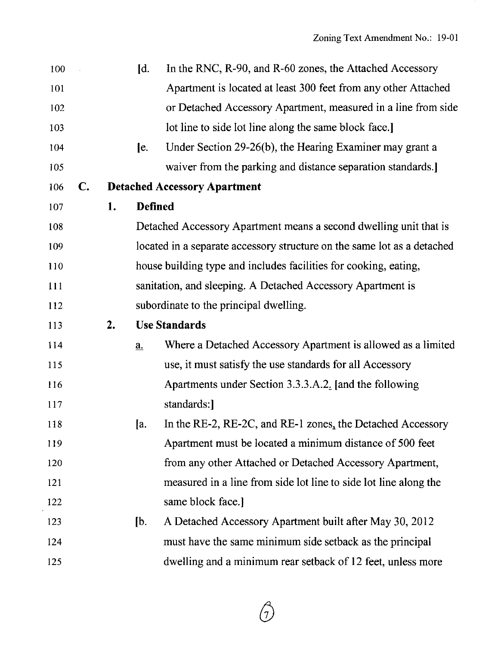| 100 |    |    | $\mathbf{d}$ .             | In the RNC, R-90, and R-60 zones, the Attached Accessory                |
|-----|----|----|----------------------------|-------------------------------------------------------------------------|
| 101 |    |    |                            | Apartment is located at least 300 feet from any other Attached          |
| 102 |    |    |                            | or Detached Accessory Apartment, measured in a line from side           |
| 103 |    |    |                            | lot line to side lot line along the same block face.                    |
| 104 |    |    | [e,                        | Under Section 29-26(b), the Hearing Examiner may grant a                |
| 105 |    |    |                            | waiver from the parking and distance separation standards.              |
| 106 | C. |    |                            | <b>Detached Accessory Apartment</b>                                     |
| 107 |    | 1. | <b>Defined</b>             |                                                                         |
| 108 |    |    |                            | Detached Accessory Apartment means a second dwelling unit that is       |
| 109 |    |    |                            | located in a separate accessory structure on the same lot as a detached |
| 110 |    |    |                            | house building type and includes facilities for cooking, eating,        |
| 111 |    |    |                            | sanitation, and sleeping. A Detached Accessory Apartment is             |
| 112 |    |    |                            | subordinate to the principal dwelling.                                  |
| 113 |    | 2. |                            | <b>Use Standards</b>                                                    |
| 114 |    |    | $\underline{\mathbf{a}}$ . | Where a Detached Accessory Apartment is allowed as a limited            |
| 115 |    |    |                            | use, it must satisfy the use standards for all Accessory                |
| 116 |    |    |                            | Apartments under Section 3.3.3.A.2. [and the following                  |
| 117 |    |    |                            | standards:                                                              |
| 118 |    |    | Ja.                        | In the RE-2, RE-2C, and RE-1 zones, the Detached Accessory              |
| 119 |    |    |                            | Apartment must be located a minimum distance of 500 feet                |
| 120 |    |    |                            | from any other Attached or Detached Accessory Apartment,                |
| 121 |    |    |                            | measured in a line from side lot line to side lot line along the        |
| 122 |    |    |                            | same block face.]                                                       |
| 123 |    |    | [b]                        | A Detached Accessory Apartment built after May 30, 2012                 |
| 124 |    |    |                            | must have the same minimum side setback as the principal                |
| 125 |    |    |                            | dwelling and a minimum rear setback of 12 feet, unless more             |

 $\bigcap_{\mathcal{C}}$